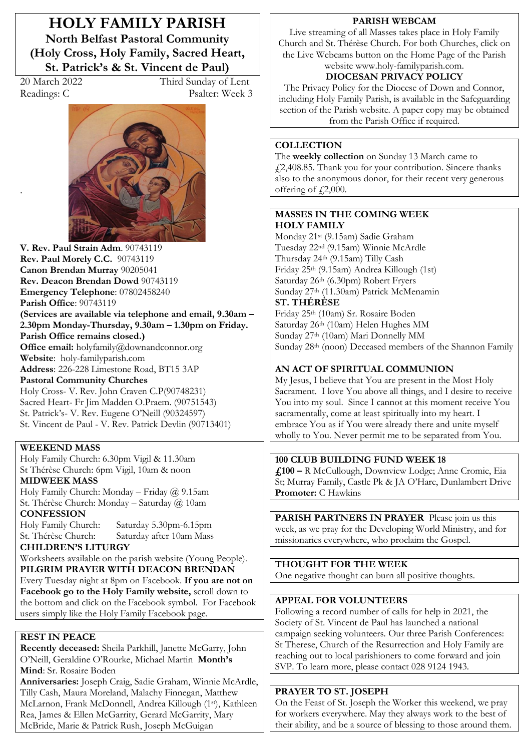**HOLY FAMILY PARISH North Belfast Pastoral Community (Holy Cross, Holy Family, Sacred Heart, St. Patrick's & St. Vincent de Paul)** 

.

20 March 2022 Third Sunday of Lent Readings: C Psalter: Week 3



**V. Rev. Paul Strain Adm**. 90743119 **Rev. Paul Morely C.C.** 90743119 **Canon Brendan Murray** 90205041 **Rev. Deacon Brendan Dowd** 90743119 **Emergency Telephone**: 07802458240 **Parish Office**: 90743119 **(Services are available via telephone and email, 9.30am –** 2.30pm Monday-Thursday, 9.30am - 1.30pm on Friday. **Parish Office remains closed.) Office email:** holyfamily@downandconnor.org **Website**: holy-familyparish.com **Address**: 226-228 Limestone Road, BT15 3AP **Pastoral Community Churches** Holy Cross- V. Rev. John Craven C.P(90748231) Sacred Heart- Fr Jim Madden O.Praem. (90751543) St. Patrick's- V. Rev. Eugene O'Neill (90324597) St. Vincent de Paul - V. Rev. Patrick Devlin (90713401)

#### **WEEKEND MASS**

Holy Family Church: 6.30pm Vigil & 11.30am St Thérèse Church: 6pm Vigil, 10am & noon

## **MIDWEEK MASS**

Holy Family Church: Monday - Friday  $@$  9.15am St. Thérèse Church: Monday - Saturday @ 10am **CONFESSION**

Holy Family Church: Saturday 5.30pm-6.15pm St. Thérèse Church: Saturday after 10am Mass

**CHILDREN·S LITURGY**  Worksheets available on the parish website (Young People). **PILGRIM PRAYER WITH DEACON BRENDAN** Every Tuesday night at 8pm on Facebook. **If you are not on Facebook go to the Holy Family website,** scroll down to the bottom and click on the Facebook symbol. For Facebook users simply like the Holy Family Facebook page.

#### **REST IN PEACE**

**Recently deceased:** Sheila Parkhill, Janette McGarry, John O'Neill, Geraldine O'Rourke, Michael Martin Month's **Mind**: Sr. Rosaire Boden

**Anniversaries:** Joseph Craig, Sadie Graham, Winnie McArdle, Tilly Cash, Maura Moreland, Malachy Finnegan, Matthew McLarnon, Frank McDonnell, Andrea Killough (1st ), Kathleen Rea, James & Ellen McGarrity, Gerard McGarrity, Mary McBride, Marie & Patrick Rush, Joseph McGuigan

#### **PARISH WEBCAM**

Live streaming of all Masses takes place in Holy Family Church and St. Thérèse Church. For both Churches, click on the Live Webcams button on the Home Page of the Parish website www.holy-familyparish.com.

# **DIOCESAN PRIVACY POLICY**

The Privacy Policy for the Diocese of Down and Connor, including Holy Family Parish, is available in the Safeguarding section of the Parish website. A paper copy may be obtained from the Parish Office if required.

#### **COLLECTION**

The **weekly collection** on Sunday 13 March came to £2,408.85. Thank you for your contribution. Sincere thanks also to the anonymous donor, for their recent very generous offering of  $\sqrt{2,000}$ .

## **MASSES IN THE COMING WEEK HOLY FAMILY**

Monday 21st (9.15am) Sadie Graham Tuesday 22nd (9.15am) Winnie McArdle Thursday 24th (9.15am) Tilly Cash Friday 25th (9.15am) Andrea Killough (1st) Saturday 26th (6.30pm) Robert Fryers Sunday 27th (11.30am) Patrick McMenamin **ST. THÉRÈSE** 

Friday 25th (10am) Sr. Rosaire Boden Saturday 26<sup>th</sup> (10am) Helen Hughes MM Sunday 27th (10am) Mari Donnelly MM Sunday 28<sup>th</sup> (noon) Deceased members of the Shannon Family

## **AN ACT OF SPIRITUAL COMMUNION**

My Jesus, I believe that You are present in the Most Holy Sacrament. I love You above all things, and I desire to receive You into my soul. Since I cannot at this moment receive You sacramentally, come at least spiritually into my heart. I embrace You as if You were already there and unite myself wholly to You. Never permit me to be separated from You.

## **100 CLUB BUILDING FUND WEEK 18**

**£100 ²** R McCullough, Downview Lodge; Anne Cromie, Eia St; Murray Family, Castle Pk & JA O'Hare, Dunlambert Drive **Promoter:** C Hawkins

**PARISH PARTNERS IN PRAYER** Please join us this week, as we pray for the Developing World Ministry, and for missionaries everywhere, who proclaim the Gospel.

**THOUGHT FOR THE WEEK** One negative thought can burn all positive thoughts.

## **APPEAL FOR VOLUNTEERS**

Following a record number of calls for help in 2021, the Society of St. Vincent de Paul has launched a national campaign seeking volunteers. Our three Parish Conferences: St Therese, Church of the Resurrection and Holy Family are reaching out to local parishioners to come forward and join SVP. To learn more, please contact 028 9124 1943.

## **PRAYER TO ST. JOSEPH**

On the Feast of St. Joseph the Worker this weekend, we pray for workers everywhere. May they always work to the best of their ability, and be a source of blessing to those around them.